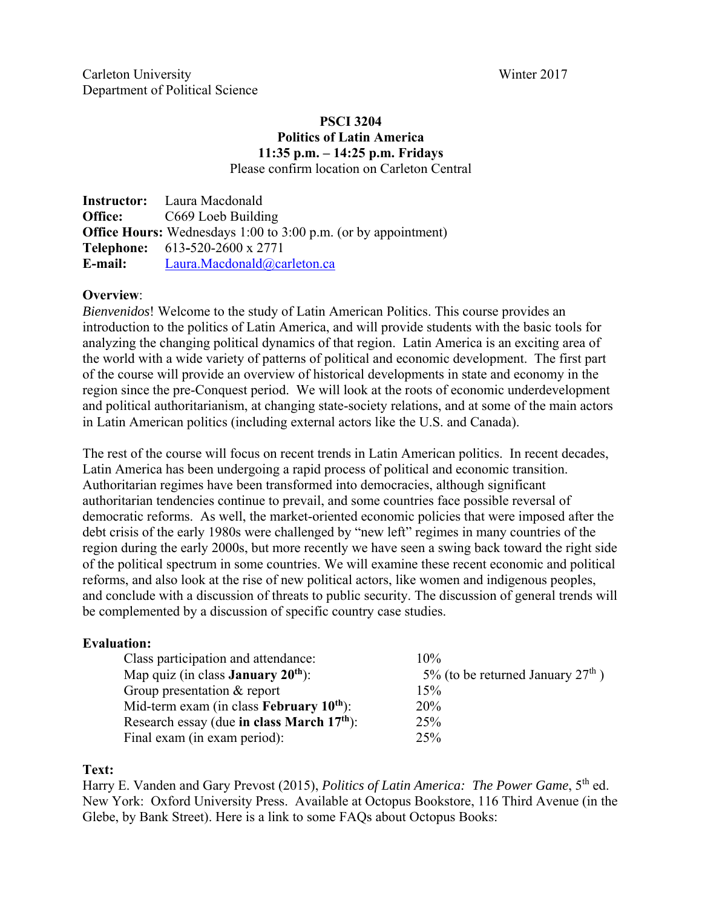## **PSCI 3204 Politics of Latin America 11:35 p.m. – 14:25 p.m. Fridays**  Please confirm location on Carleton Central

**Instructor:** Laura Macdonald **Office:** C669 Loeb Building **Office Hours:** Wednesdays 1:00 to 3:00 p.m. (or by appointment) **Telephone:** 613**-**520-2600 x 2771 E-mail: Laura.Macdonald@carleton.ca

## **Overview**:

*Bienvenidos*! Welcome to the study of Latin American Politics. This course provides an introduction to the politics of Latin America, and will provide students with the basic tools for analyzing the changing political dynamics of that region. Latin America is an exciting area of the world with a wide variety of patterns of political and economic development. The first part of the course will provide an overview of historical developments in state and economy in the region since the pre-Conquest period. We will look at the roots of economic underdevelopment and political authoritarianism, at changing state-society relations, and at some of the main actors in Latin American politics (including external actors like the U.S. and Canada).

The rest of the course will focus on recent trends in Latin American politics. In recent decades, Latin America has been undergoing a rapid process of political and economic transition. Authoritarian regimes have been transformed into democracies, although significant authoritarian tendencies continue to prevail, and some countries face possible reversal of democratic reforms. As well, the market-oriented economic policies that were imposed after the debt crisis of the early 1980s were challenged by "new left" regimes in many countries of the region during the early 2000s, but more recently we have seen a swing back toward the right side of the political spectrum in some countries. We will examine these recent economic and political reforms, and also look at the rise of new political actors, like women and indigenous peoples, and conclude with a discussion of threats to public security. The discussion of general trends will be complemented by a discussion of specific country case studies.

## **Evaluation:**

| Class participation and attendance:                    | $10\%$                              |
|--------------------------------------------------------|-------------------------------------|
| Map quiz (in class <b>January 20</b> <sup>th</sup> ):  | 5% (to be returned January $27th$ ) |
| Group presentation & report                            | 15%                                 |
| Mid-term exam (in class February $10^{th}$ ):          | <b>20%</b>                          |
| Research essay (due in class March 17 <sup>th</sup> ): | 25%                                 |
| Final exam (in exam period):                           | 25%                                 |

### **Text:**

Harry E. Vanden and Gary Prevost (2015), *Politics of Latin America: The Power Game*, 5<sup>th</sup> ed. New York: Oxford University Press. Available at Octopus Bookstore, 116 Third Avenue (in the Glebe, by Bank Street). Here is a link to some FAQs about Octopus Books: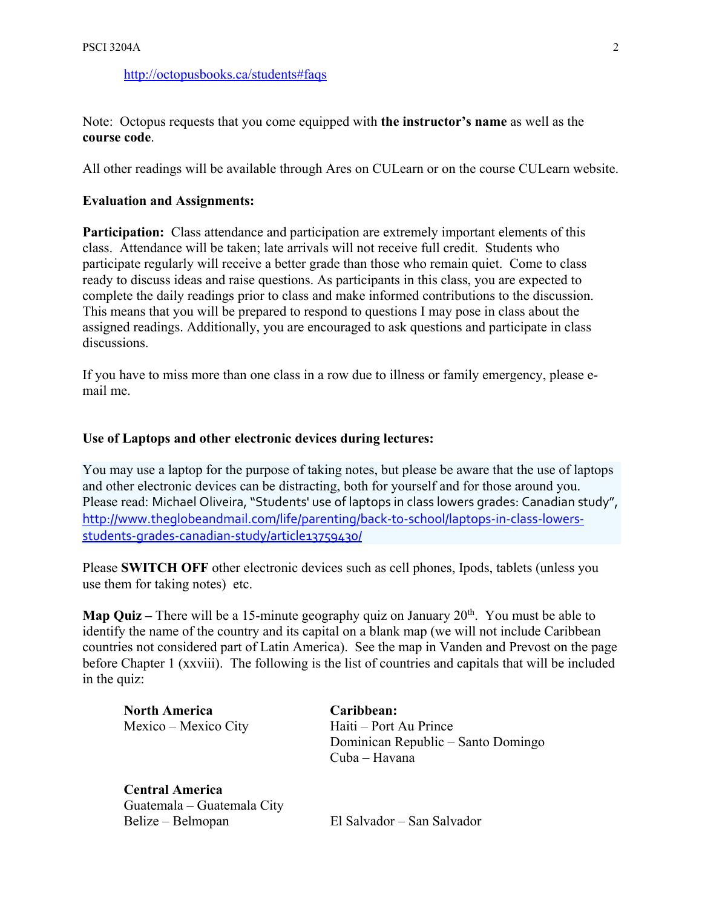http://octopusbooks.ca/students#faqs

Note: Octopus requests that you come equipped with **the instructor's name** as well as the **course code**.

All other readings will be available through Ares on CULearn or on the course CULearn website.

### **Evaluation and Assignments:**

**Participation:** Class attendance and participation are extremely important elements of this class. Attendance will be taken; late arrivals will not receive full credit. Students who participate regularly will receive a better grade than those who remain quiet. Come to class ready to discuss ideas and raise questions. As participants in this class, you are expected to complete the daily readings prior to class and make informed contributions to the discussion. This means that you will be prepared to respond to questions I may pose in class about the assigned readings. Additionally, you are encouraged to ask questions and participate in class discussions.

If you have to miss more than one class in a row due to illness or family emergency, please email me.

#### **Use of Laptops and other electronic devices during lectures:**

You may use a laptop for the purpose of taking notes, but please be aware that the use of laptops and other electronic devices can be distracting, both for yourself and for those around you. Please read: Michael Oliveira, "Students' use of laptops in class lowers grades: Canadian study", http://www.theglobeandmail.com/life/parenting/back‐to‐school/laptops‐in‐class‐lowers‐ students‐grades‐canadian‐study/article13759430/

Please **SWITCH OFF** other electronic devices such as cell phones, Ipods, tablets (unless you use them for taking notes) etc.

**Map Quiz –** There will be a 15-minute geography quiz on January 20<sup>th</sup>. You must be able to identify the name of the country and its capital on a blank map (we will not include Caribbean countries not considered part of Latin America). See the map in Vanden and Prevost on the page before Chapter 1 (xxviii). The following is the list of countries and capitals that will be included in the quiz:

**North America Caribbean:** 

**Central America**  Guatemala – Guatemala City Belize – Belmopan El Salvador – San Salvador

Mexico – Mexico City Haiti – Port Au Prince Dominican Republic – Santo Domingo Cuba – Havana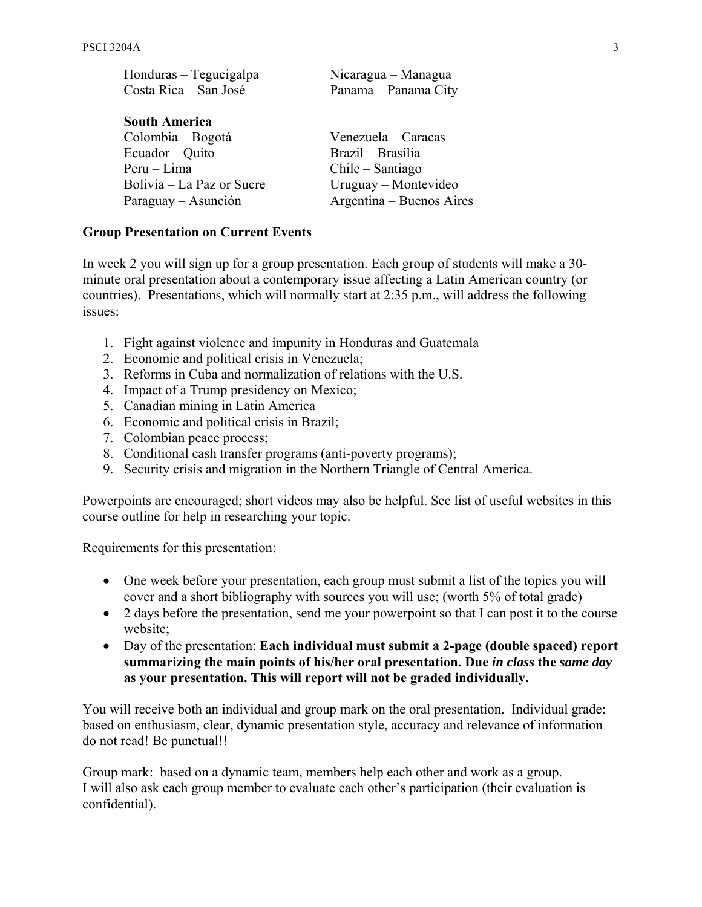| Honduras - Tegucigalpa    | Nicaragua – Managua      |  |
|---------------------------|--------------------------|--|
| Costa Rica – San José     | Panama - Panama City     |  |
| <b>South America</b>      |                          |  |
|                           |                          |  |
| Colombia – Bogotá         | Venezuela – Caracas      |  |
| Ecuador – Quito           | Brazil – Brasília        |  |
| Peru – Lima               | Chile – Santiago         |  |
| Bolivia – La Paz or Sucre | Uruguay – Montevideo     |  |
| Paraguay – Asunción       | Argentina – Buenos Aires |  |

## **Group Presentation on Current Events**

In week 2 you will sign up for a group presentation. Each group of students will make a 30 minute oral presentation about a contemporary issue affecting a Latin American country (or countries). Presentations, which will normally start at 2:35 p.m., will address the following issues:

- 1. Fight against violence and impunity in Honduras and Guatemala
- 2. Economic and political crisis in Venezuela;
- 3. Reforms in Cuba and normalization of relations with the U.S.
- 4. Impact of a Trump presidency on Mexico;
- 5. Canadian mining in Latin America
- 6. Economic and political crisis in Brazil;
- 7. Colombian peace process;
- 8. Conditional cash transfer programs (anti-poverty programs);
- 9. Security crisis and migration in the Northern Triangle of Central America.

Powerpoints are encouraged; short videos may also be helpful. See list of useful websites in this course outline for help in researching your topic.

Requirements for this presentation:

- One week before your presentation, each group must submit a list of the topics you will cover and a short bibliography with sources you will use; (worth 5% of total grade)
- 2 days before the presentation, send me your powerpoint so that I can post it to the course website;
- Day of the presentation: **Each individual must submit a 2-page (double spaced) report summarizing the main points of his/her oral presentation. Due** *in class* **the** *same day* **as your presentation. This will report will not be graded individually.**

You will receive both an individual and group mark on the oral presentation. Individual grade: based on enthusiasm, clear, dynamic presentation style, accuracy and relevance of information– do not read! Be punctual!!

Group mark: based on a dynamic team, members help each other and work as a group. I will also ask each group member to evaluate each other's participation (their evaluation is confidential).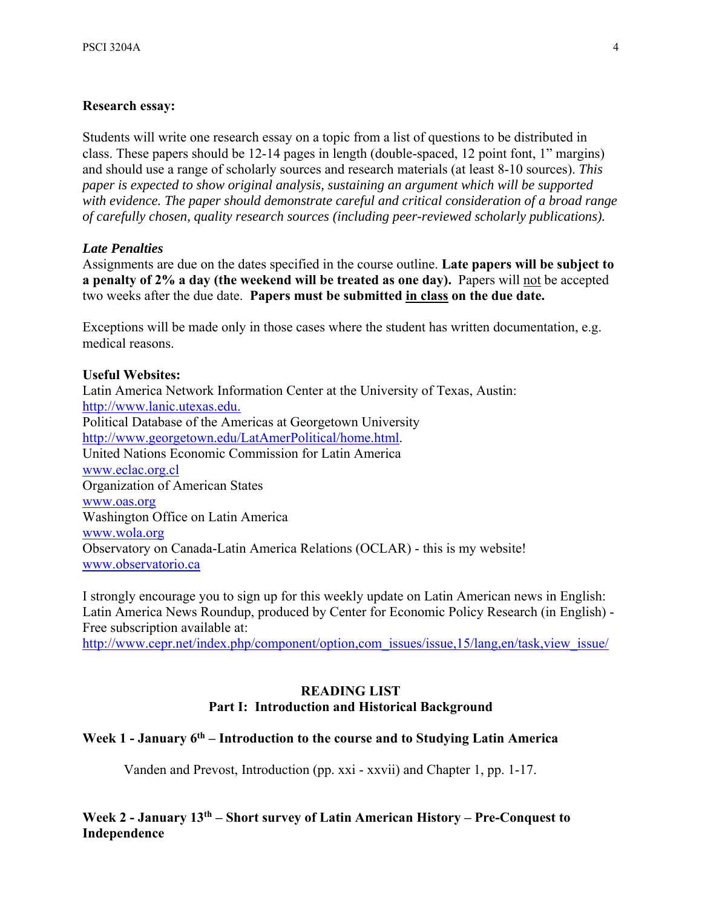### **Research essay:**

Students will write one research essay on a topic from a list of questions to be distributed in class. These papers should be 12-14 pages in length (double-spaced, 12 point font, 1" margins) and should use a range of scholarly sources and research materials (at least 8-10 sources). *This paper is expected to show original analysis, sustaining an argument which will be supported with evidence. The paper should demonstrate careful and critical consideration of a broad range of carefully chosen, quality research sources (including peer-reviewed scholarly publications).*

#### *Late Penalties*

Assignments are due on the dates specified in the course outline. **Late papers will be subject to a penalty of 2% a day (the weekend will be treated as one day).** Papers will not be accepted two weeks after the due date. **Papers must be submitted in class on the due date.** 

Exceptions will be made only in those cases where the student has written documentation, e.g. medical reasons.

#### **Useful Websites:**

Latin America Network Information Center at the University of Texas, Austin: http://www.lanic.utexas.edu. Political Database of the Americas at Georgetown University http://www.georgetown.edu/LatAmerPolitical/home.html. United Nations Economic Commission for Latin America www.eclac.org.cl Organization of American States www.oas.org Washington Office on Latin America www.wola.org Observatory on Canada-Latin America Relations (OCLAR) - this is my website! www.observatorio.ca

I strongly encourage you to sign up for this weekly update on Latin American news in English: Latin America News Roundup, produced by Center for Economic Policy Research (in English) - Free subscription available at:

http://www.cepr.net/index.php/component/option.com\_issues/issue,15/lang.en/task,view\_issue/

## **READING LIST Part I: Introduction and Historical Background**

## Week 1 - January 6<sup>th</sup> – Introduction to the course and to Studying Latin America

Vanden and Prevost, Introduction (pp. xxi - xxvii) and Chapter 1, pp. 1-17.

**Week 2 - January 13th – Short survey of Latin American History – Pre-Conquest to Independence**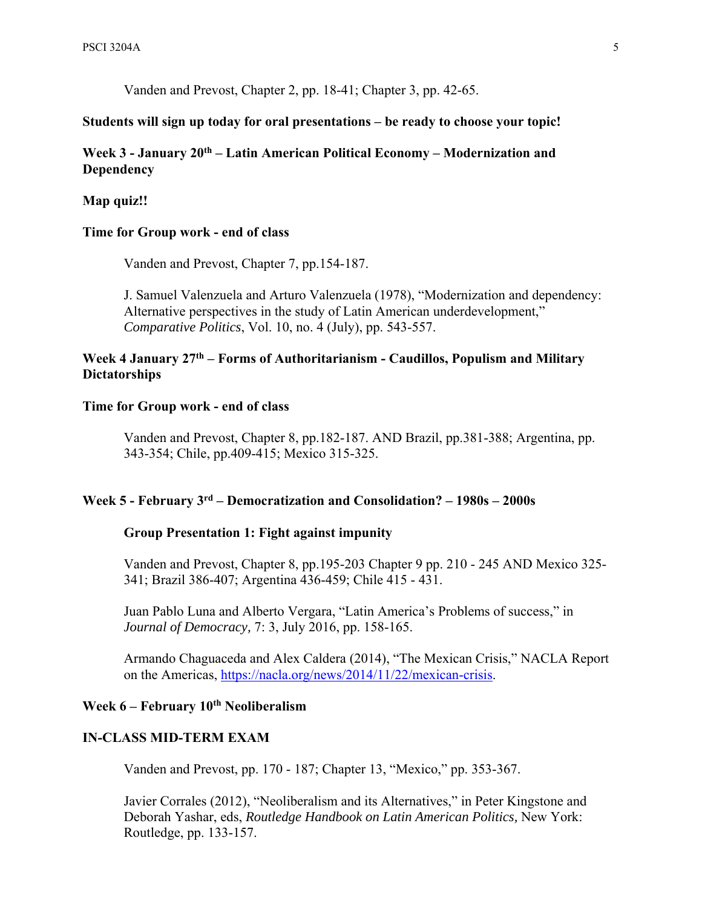Vanden and Prevost, Chapter 2, pp. 18-41; Chapter 3, pp. 42-65.

### **Students will sign up today for oral presentations – be ready to choose your topic!**

# Week 3 - January 20<sup>th</sup> – Latin American Political Economy – Modernization and **Dependency**

### **Map quiz!!**

### **Time for Group work - end of class**

Vanden and Prevost, Chapter 7, pp.154-187.

J. Samuel Valenzuela and Arturo Valenzuela (1978), "Modernization and dependency: Alternative perspectives in the study of Latin American underdevelopment," *Comparative Politics*, Vol. 10, no. 4 (July), pp. 543-557.

## **Week 4 January 27th – Forms of Authoritarianism - Caudillos, Populism and Military Dictatorships**

### **Time for Group work - end of class**

Vanden and Prevost, Chapter 8, pp.182-187. AND Brazil, pp.381-388; Argentina, pp. 343-354; Chile, pp.409-415; Mexico 315-325.

## **Week 5 - February 3rd – Democratization and Consolidation? – 1980s – 2000s**

### **Group Presentation 1: Fight against impunity**

Vanden and Prevost, Chapter 8, pp.195-203 Chapter 9 pp. 210 - 245 AND Mexico 325- 341; Brazil 386-407; Argentina 436-459; Chile 415 - 431.

Juan Pablo Luna and Alberto Vergara, "Latin America's Problems of success," in *Journal of Democracy,* 7: 3, July 2016, pp. 158-165.

Armando Chaguaceda and Alex Caldera (2014), "The Mexican Crisis," NACLA Report on the Americas, https://nacla.org/news/2014/11/22/mexican-crisis.

# Week 6 – February 10<sup>th</sup> Neoliberalism

#### **IN-CLASS MID-TERM EXAM**

Vanden and Prevost, pp. 170 - 187; Chapter 13, "Mexico," pp. 353-367.

Javier Corrales (2012), "Neoliberalism and its Alternatives," in Peter Kingstone and Deborah Yashar, eds, *Routledge Handbook on Latin American Politics,* New York: Routledge, pp. 133-157.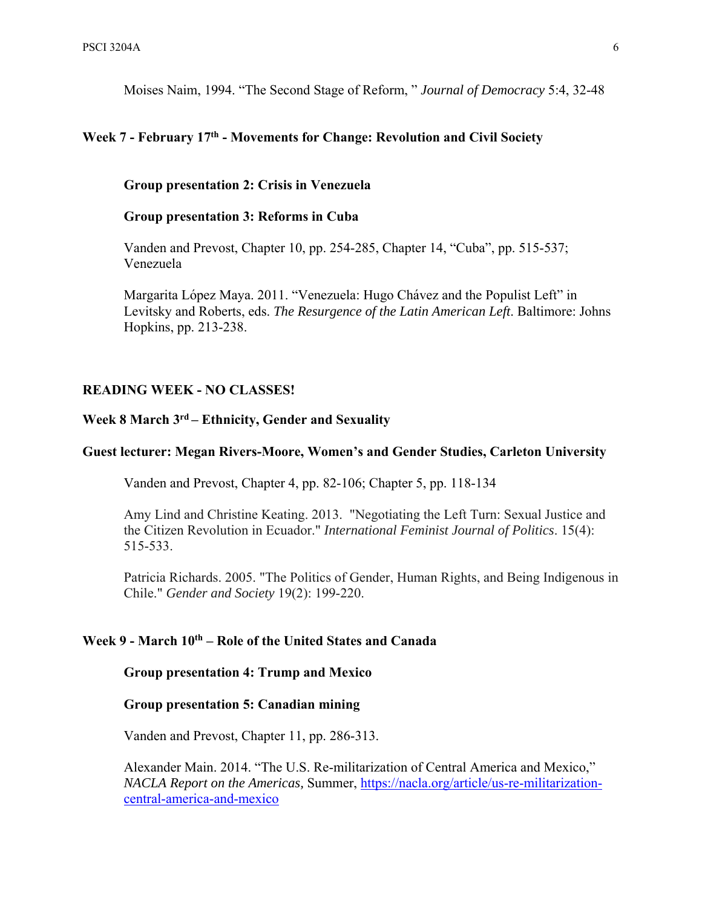Moises Naim, 1994. "The Second Stage of Reform, " *Journal of Democracy* 5:4, 32-48

# **Week 7 - February 17th - Movements for Change: Revolution and Civil Society**

**Group presentation 2: Crisis in Venezuela** 

### **Group presentation 3: Reforms in Cuba**

Vanden and Prevost, Chapter 10, pp. 254-285, Chapter 14, "Cuba", pp. 515-537; Venezuela

Margarita Ló pez Maya. 2011. "Venezuela: Hugo Chá vez and the Populist Left" in Levitsky and Roberts, eds. *The Resurgence of the Latin American Left*. Baltimore: Johns Hopkins, pp. 213-238.

### **READING WEEK - NO CLASSES!**

## **Week 8 March 3rd – Ethnicity, Gender and Sexuality**

### **Guest lecturer: Megan Rivers-Moore, Women's and Gender Studies, Carleton University**

Vanden and Prevost, Chapter 4, pp. 82-106; Chapter 5, pp. 118-134

Amy Lind and Christine Keating. 2013. "Negotiating the Left Turn: Sexual Justice and the Citizen Revolution in Ecuador." *International Feminist Journal of Politics*. 15(4): 515-533.

Patricia Richards. 2005. "The Politics of Gender, Human Rights, and Being Indigenous in Chile." *Gender and Society* 19(2): 199-220.

## **Week 9 - March 10th – Role of the United States and Canada**

### **Group presentation 4: Trump and Mexico**

## **Group presentation 5: Canadian mining**

Vanden and Prevost, Chapter 11, pp. 286-313.

Alexander Main. 2014. "The U.S. Re-militarization of Central America and Mexico," *NACLA Report on the Americas,* Summer, https://nacla.org/article/us-re-militarizationcentral-america-and-mexico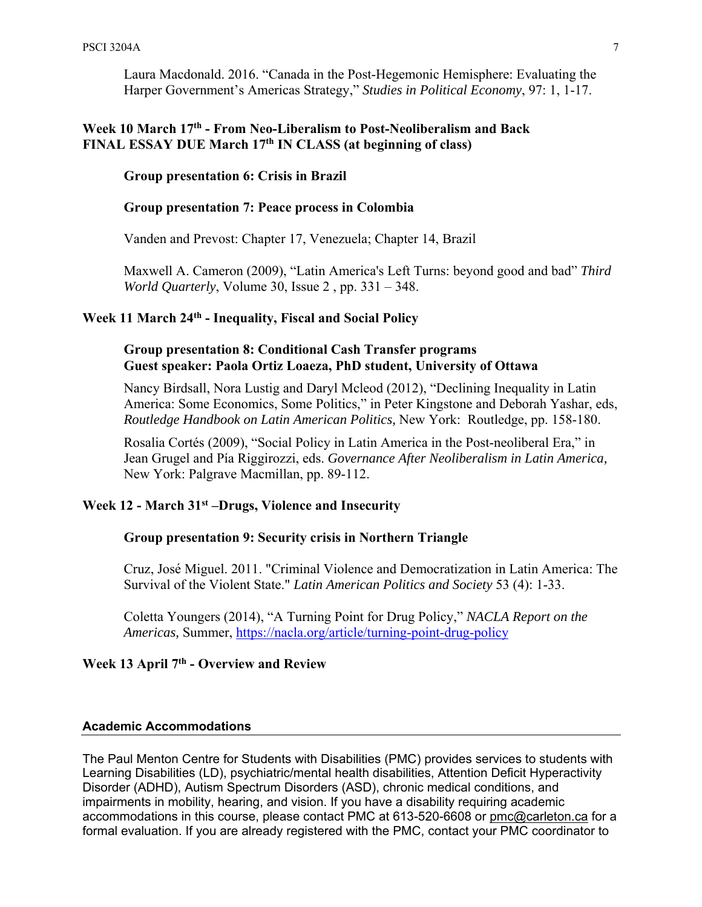Laura Macdonald. 2016. "Canada in the Post-Hegemonic Hemisphere: Evaluating the Harper Government's Americas Strategy," *Studies in Political Economy*, 97: 1, 1-17.

## **Week 10 March 17th - From Neo-Liberalism to Post-Neoliberalism and Back FINAL ESSAY DUE March 17th IN CLASS (at beginning of class)**

### **Group presentation 6: Crisis in Brazil**

## **Group presentation 7: Peace process in Colombia**

Vanden and Prevost: Chapter 17, Venezuela; Chapter 14, Brazil

Maxwell A. Cameron (2009), "Latin America's Left Turns: beyond good and bad" *Third World Quarterly*, Volume 30, Issue 2 , pp. 331 – 348.

# **Week 11 March 24th - Inequality, Fiscal and Social Policy**

## **Group presentation 8: Conditional Cash Transfer programs Guest speaker: Paola Ortiz Loaeza, PhD student, University of Ottawa**

Nancy Birdsall, Nora Lustig and Daryl Mcleod (2012), "Declining Inequality in Latin America: Some Economics, Some Politics," in Peter Kingstone and Deborah Yashar, eds, *Routledge Handbook on Latin American Politics,* New York: Routledge, pp. 158-180.

Rosalia Cortés (2009), "Social Policy in Latin America in the Post-neoliberal Era," in Jean Grugel and Pía Riggirozzi, eds. *Governance After Neoliberalism in Latin America,*  New York: Palgrave Macmillan, pp. 89-112.

## **Week 12 - March 31st –Drugs, Violence and Insecurity**

### **Group presentation 9: Security crisis in Northern Triangle**

Cruz, José Miguel. 2011. "Criminal Violence and Democratization in Latin America: The Survival of the Violent State." *Latin American Politics and Society* 53 (4): 1-33.

Coletta Youngers (2014), "A Turning Point for Drug Policy," *NACLA Report on the Americas,* Summer, https://nacla.org/article/turning-point-drug-policy

# **Week 13 April 7th - Overview and Review**

#### **Academic Accommodations**

The Paul Menton Centre for Students with Disabilities (PMC) provides services to students with Learning Disabilities (LD), psychiatric/mental health disabilities, Attention Deficit Hyperactivity Disorder (ADHD), Autism Spectrum Disorders (ASD), chronic medical conditions, and impairments in mobility, hearing, and vision. If you have a disability requiring academic accommodations in this course, please contact PMC at 613-520-6608 or pmc@carleton.ca for a formal evaluation. If you are already registered with the PMC, contact your PMC coordinator to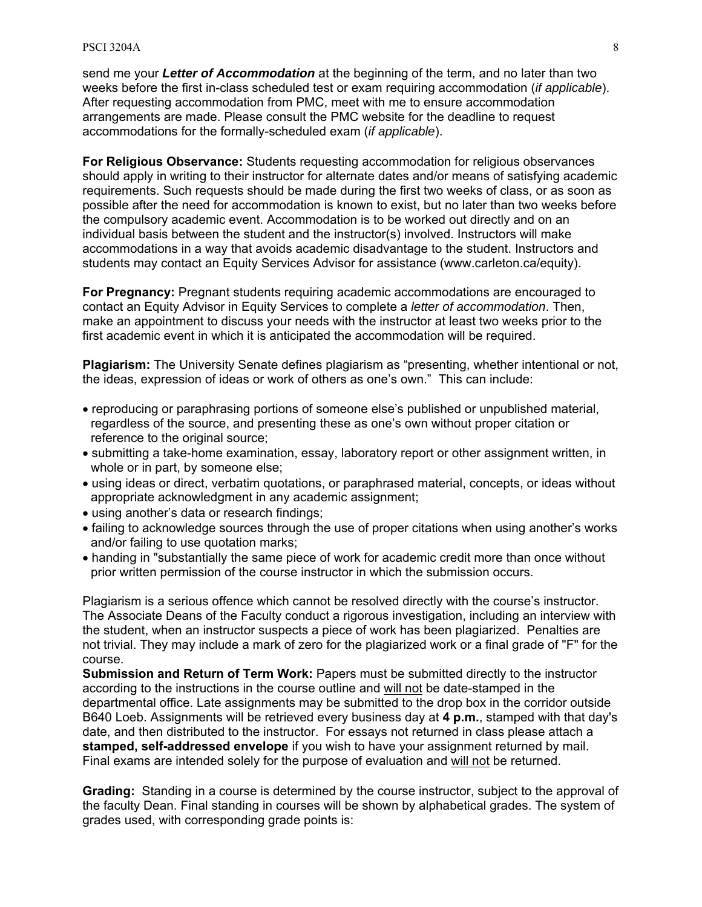send me your *Letter of Accommodation* at the beginning of the term, and no later than two weeks before the first in-class scheduled test or exam requiring accommodation (*if applicable*). After requesting accommodation from PMC, meet with me to ensure accommodation arrangements are made. Please consult the PMC website for the deadline to request accommodations for the formally-scheduled exam (*if applicable*).

**For Religious Observance:** Students requesting accommodation for religious observances should apply in writing to their instructor for alternate dates and/or means of satisfying academic requirements. Such requests should be made during the first two weeks of class, or as soon as possible after the need for accommodation is known to exist, but no later than two weeks before the compulsory academic event. Accommodation is to be worked out directly and on an individual basis between the student and the instructor(s) involved. Instructors will make accommodations in a way that avoids academic disadvantage to the student. Instructors and students may contact an Equity Services Advisor for assistance (www.carleton.ca/equity).

**For Pregnancy:** Pregnant students requiring academic accommodations are encouraged to contact an Equity Advisor in Equity Services to complete a *letter of accommodation*. Then, make an appointment to discuss your needs with the instructor at least two weeks prior to the first academic event in which it is anticipated the accommodation will be required.

**Plagiarism:** The University Senate defines plagiarism as "presenting, whether intentional or not, the ideas, expression of ideas or work of others as one's own." This can include:

- reproducing or paraphrasing portions of someone else's published or unpublished material, regardless of the source, and presenting these as one's own without proper citation or reference to the original source;
- submitting a take-home examination, essay, laboratory report or other assignment written, in whole or in part, by someone else;
- using ideas or direct, verbatim quotations, or paraphrased material, concepts, or ideas without appropriate acknowledgment in any academic assignment;
- using another's data or research findings;
- failing to acknowledge sources through the use of proper citations when using another's works and/or failing to use quotation marks;
- handing in "substantially the same piece of work for academic credit more than once without prior written permission of the course instructor in which the submission occurs.

Plagiarism is a serious offence which cannot be resolved directly with the course's instructor. The Associate Deans of the Faculty conduct a rigorous investigation, including an interview with the student, when an instructor suspects a piece of work has been plagiarized. Penalties are not trivial. They may include a mark of zero for the plagiarized work or a final grade of "F" for the course.

**Submission and Return of Term Work:** Papers must be submitted directly to the instructor according to the instructions in the course outline and will not be date-stamped in the departmental office. Late assignments may be submitted to the drop box in the corridor outside B640 Loeb. Assignments will be retrieved every business day at **4 p.m.**, stamped with that day's date, and then distributed to the instructor. For essays not returned in class please attach a **stamped, self-addressed envelope** if you wish to have your assignment returned by mail. Final exams are intended solely for the purpose of evaluation and will not be returned.

**Grading:** Standing in a course is determined by the course instructor, subject to the approval of the faculty Dean. Final standing in courses will be shown by alphabetical grades. The system of grades used, with corresponding grade points is: